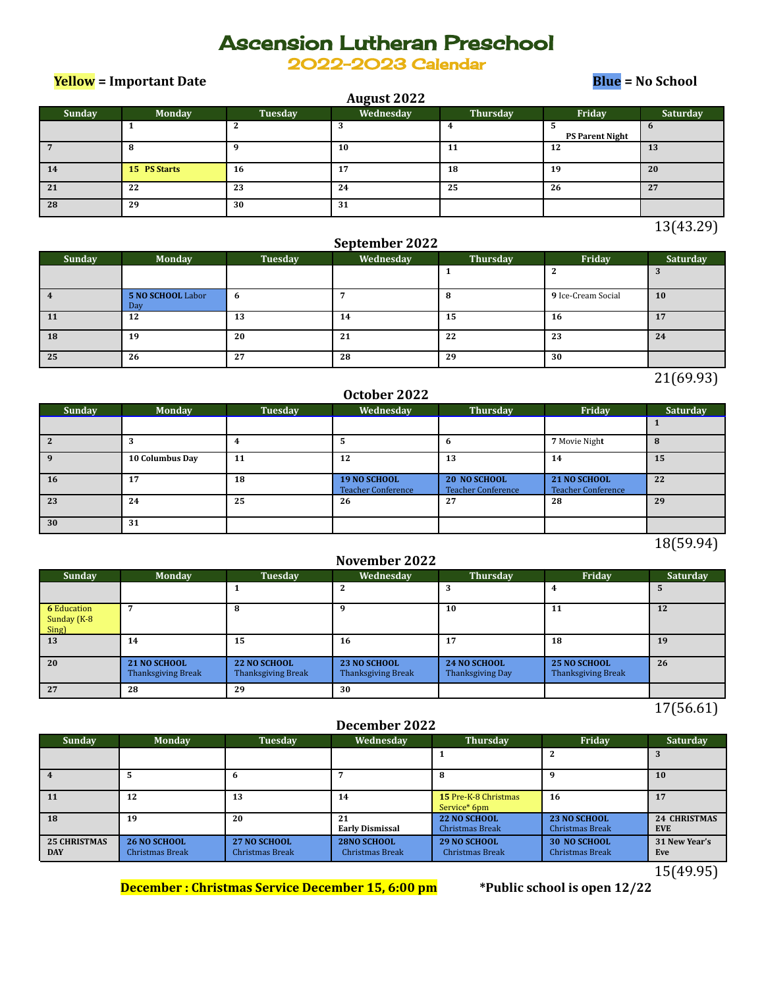# Ascension Lutheran Preschool

2022-2023 Calendar

**Yellow = Important Date Blue = No School**

| August 2022 |               |         |           |          |                        |              |  |  |  |
|-------------|---------------|---------|-----------|----------|------------------------|--------------|--|--|--|
| Sunday      | <b>Monday</b> | Tuesday | Wednesday | Thursday | Friday                 | Saturday     |  |  |  |
|             |               |         | 3         |          | <b>PS Parent Night</b> | $\mathbf{b}$ |  |  |  |
|             | 8             |         | 10        | 11       | 12                     | 13           |  |  |  |
| 14          | 15 PS Starts  | 16      | 17        | 18       | 19                     | 20           |  |  |  |
| 21          | 22            | 23      | 24        | 25       | 26                     | 27           |  |  |  |
| 28          | 29            | 30      | 31        |          |                        |              |  |  |  |

13(43.29)

### **September 2022**

| <b>Sunday</b> | <b>Monday</b>            | Tuesday | <b>Wednesday</b> | Thursday | Friday             | Saturday |
|---------------|--------------------------|---------|------------------|----------|--------------------|----------|
|               |                          |         |                  |          |                    |          |
|               | 5 NO SCHOOL Labor<br>Day | -6      |                  |          | 9 Ice-Cream Social | 10       |
| 11            | 12                       | 13      | 14               | 15       | 16                 | 17       |
| 18            | 19                       | 20      | 21               | 22       | 23                 | 24       |
| 25            | 26                       | 27      | 28               | 29       | 30                 |          |

21(69.93)

## **October 2022**

| Sunday | <b>Monday</b>   | <b>Tuesday</b> | Wednesday                                 | Thursday                                         | Friday                                    | Saturday |
|--------|-----------------|----------------|-------------------------------------------|--------------------------------------------------|-------------------------------------------|----------|
|        |                 |                |                                           |                                                  |                                           |          |
|        |                 |                |                                           |                                                  | 7 Movie Night                             |          |
|        | 10 Columbus Day | 11             | 12                                        | 13                                               | 14                                        | 15       |
| 16     | 17              | 18             | 19 NO SCHOOL<br><b>Teacher Conference</b> | <b>20 NO SCHOOL</b><br><b>Teacher Conference</b> | 21 NO SCHOOL<br><b>Teacher Conference</b> | 22       |
| 23     | 24              | 25             | 26                                        | 27                                               | 28                                        | 29       |
| 30     | 31              |                |                                           |                                                  |                                           |          |

### 18(59.94)

#### **November 2022**

| <b>Sunday</b>                              | <b>Monday</b>                             | Tuesday                                   | Wednesday                          | Thursday                                | Friday                             | Saturday |
|--------------------------------------------|-------------------------------------------|-------------------------------------------|------------------------------------|-----------------------------------------|------------------------------------|----------|
|                                            |                                           |                                           | z                                  |                                         |                                    | Ð        |
| <b>6</b> Education<br>Sunday (K-8<br>Sing) |                                           |                                           |                                    | 10                                      | 11                                 | 12       |
| 13                                         | 14                                        | 15                                        | 16                                 | 17                                      | 18                                 | 19       |
| 20                                         | 21 NO SCHOOL<br><b>Thanksgiving Break</b> | 22 NO SCHOOL<br><b>Thanksgiving Break</b> | 23 NO SCHOOL<br>Thanksgiving Break | <b>24 NO SCHOOL</b><br>Thanksgiving Day | 25 NO SCHOOL<br>Thanksgiving Break | 26       |
| 27                                         | 28                                        | 29                                        | 30                                 |                                         |                                    |          |

17(56.61)

#### **December 2022**

| <b>Sunday</b>                     | <b>Monday</b>                          | Tuesday                         | Wednesday                                    | <b>Thursday</b>                               | Friday                                        | Saturday                          |
|-----------------------------------|----------------------------------------|---------------------------------|----------------------------------------------|-----------------------------------------------|-----------------------------------------------|-----------------------------------|
|                                   |                                        |                                 |                                              |                                               |                                               |                                   |
|                                   |                                        | n                               |                                              | 8                                             | Q                                             | <b>10</b>                         |
| <b>11</b>                         | 12                                     | 13                              | 14                                           | 15 Pre-K-8 Christmas<br>Service* 6pm          | 16                                            | 17                                |
| <b>18</b>                         | 19                                     | 20                              | 21<br><b>Early Dismissal</b>                 | <b>22 NO SCHOOL</b><br><b>Christmas Break</b> | <b>23 NO SCHOOL</b><br><b>Christmas Break</b> | <b>24 CHRISTMAS</b><br><b>EVE</b> |
| <b>25 CHRISTMAS</b><br><b>DAY</b> | <b>26 NO SCHOOL</b><br>Christmas Break | 27 NO SCHOOL<br>Christmas Break | <b>28NO SCHOOL</b><br><b>Christmas Break</b> | <b>29 NO SCHOOL</b><br><b>Christmas Break</b> | <b>30 NO SCHOOL</b><br><b>Christmas Break</b> | 31 New Year's<br>Eve              |

15(49.95)

**December : Christmas Service December 15, 6:00 pm \*Public school is open 12/22**